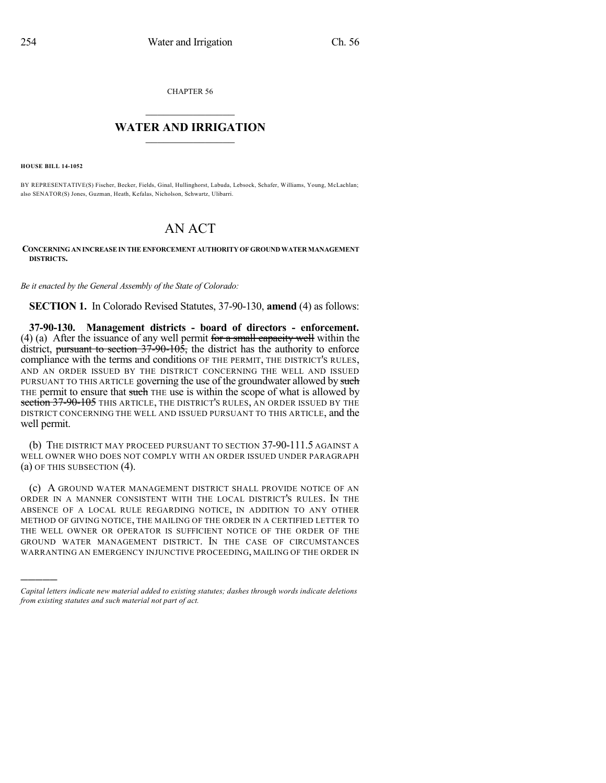CHAPTER 56

## $\mathcal{L}_\text{max}$  . The set of the set of the set of the set of the set of the set of the set of the set of the set of the set of the set of the set of the set of the set of the set of the set of the set of the set of the set **WATER AND IRRIGATION**  $\_$   $\_$

**HOUSE BILL 14-1052**

)))))

BY REPRESENTATIVE(S) Fischer, Becker, Fields, Ginal, Hullinghorst, Labuda, Lebsock, Schafer, Williams, Young, McLachlan; also SENATOR(S) Jones, Guzman, Heath, Kefalas, Nicholson, Schwartz, Ulibarri.

## AN ACT

**CONCERNINGAN INCREASEIN THE ENFORCEMENT AUTHORITY OF GROUNDWATERMANAGEMENT DISTRICTS.**

*Be it enacted by the General Assembly of the State of Colorado:*

**SECTION 1.** In Colorado Revised Statutes, 37-90-130, **amend** (4) as follows:

**37-90-130. Management districts - board of directors - enforcement.** (4) (a) After the issuance of any well permit for a small capacity well within the district, pursuant to section  $37\overline{-90-105}$ , the district has the authority to enforce compliance with the terms and conditions OF THE PERMIT, THE DISTRICT'S RULES, AND AN ORDER ISSUED BY THE DISTRICT CONCERNING THE WELL AND ISSUED PURSUANT TO THIS ARTICLE governing the use of the groundwater allowed by such THE permit to ensure that such THE use is within the scope of what is allowed by section 37-90-105 THIS ARTICLE, THE DISTRICT'S RULES, AN ORDER ISSUED BY THE DISTRICT CONCERNING THE WELL AND ISSUED PURSUANT TO THIS ARTICLE, and the well permit.

(b) THE DISTRICT MAY PROCEED PURSUANT TO SECTION 37-90-111.5 AGAINST A WELL OWNER WHO DOES NOT COMPLY WITH AN ORDER ISSUED UNDER PARAGRAPH (a) OF THIS SUBSECTION (4).

(c) A GROUND WATER MANAGEMENT DISTRICT SHALL PROVIDE NOTICE OF AN ORDER IN A MANNER CONSISTENT WITH THE LOCAL DISTRICT'S RULES. IN THE ABSENCE OF A LOCAL RULE REGARDING NOTICE, IN ADDITION TO ANY OTHER METHOD OF GIVING NOTICE, THE MAILING OF THE ORDER IN A CERTIFIED LETTER TO THE WELL OWNER OR OPERATOR IS SUFFICIENT NOTICE OF THE ORDER OF THE GROUND WATER MANAGEMENT DISTRICT. IN THE CASE OF CIRCUMSTANCES WARRANTING AN EMERGENCY INJUNCTIVE PROCEEDING, MAILING OF THE ORDER IN

*Capital letters indicate new material added to existing statutes; dashes through words indicate deletions from existing statutes and such material not part of act.*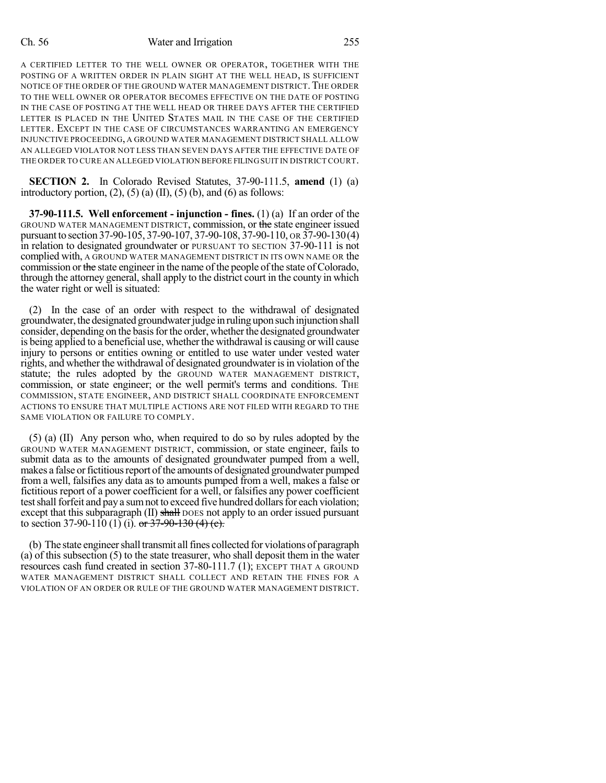## Ch. 56 Water and Irrigation 255

A CERTIFIED LETTER TO THE WELL OWNER OR OPERATOR, TOGETHER WITH THE POSTING OF A WRITTEN ORDER IN PLAIN SIGHT AT THE WELL HEAD, IS SUFFICIENT NOTICE OF THE ORDER OF THE GROUND WATER MANAGEMENT DISTRICT. THE ORDER TO THE WELL OWNER OR OPERATOR BECOMES EFFECTIVE ON THE DATE OF POSTING IN THE CASE OF POSTING AT THE WELL HEAD OR THREE DAYS AFTER THE CERTIFIED LETTER IS PLACED IN THE UNITED STATES MAIL IN THE CASE OF THE CERTIFIED LETTER. EXCEPT IN THE CASE OF CIRCUMSTANCES WARRANTING AN EMERGENCY INJUNCTIVE PROCEEDING, A GROUND WATER MANAGEMENT DISTRICT SHALL ALLOW AN ALLEGED VIOLATOR NOT LESS THAN SEVEN DAYS AFTER THE EFFECTIVE DATE OF THE ORDER TO CURE AN ALLEGED VIOLATION BEFORE FILINGSUIT IN DISTRICT COURT.

**SECTION 2.** In Colorado Revised Statutes, 37-90-111.5, **amend** (1) (a) introductory portion,  $(2)$ ,  $(5)$   $(a)$   $(II)$ ,  $(5)$   $(b)$ , and  $(6)$  as follows:

**37-90-111.5. Well enforcement - injunction - fines.** (1) (a) If an order of the GROUND WATER MANAGEMENT DISTRICT, commission, or the state engineer issued pursuant to section 37-90-105, 37-90-107, 37-90-108, 37-90-110, OR 37-90-130(4) in relation to designated groundwater or PURSUANT TO SECTION 37-90-111 is not complied with, A GROUND WATER MANAGEMENT DISTRICT IN ITS OWN NAME OR the commission or the state engineer in the name of the people of the state of Colorado, through the attorney general, shall apply to the district court in the county in which the water right or well is situated:

(2) In the case of an order with respect to the withdrawal of designated groundwater, the designated groundwater judge in ruling upon such injunction shall consider, depending on the basis for the order, whether the designated groundwater is being applied to a beneficial use, whether the withdrawal is causing or will cause injury to persons or entities owning or entitled to use water under vested water rights, and whether the withdrawal of designated groundwater is in violation of the statute; the rules adopted by the GROUND WATER MANAGEMENT DISTRICT, commission, or state engineer; or the well permit's terms and conditions. The COMMISSION, STATE ENGINEER, AND DISTRICT SHALL COORDINATE ENFORCEMENT ACTIONS TO ENSURE THAT MULTIPLE ACTIONS ARE NOT FILED WITH REGARD TO THE SAME VIOLATION OR FAILURE TO COMPLY.

(5) (a) (II) Any person who, when required to do so by rules adopted by the GROUND WATER MANAGEMENT DISTRICT, commission, or state engineer, fails to submit data as to the amounts of designated groundwater pumped from a well, makes a false or fictitious report of the amounts of designated groundwater pumped from a well, falsifies any data as to amounts pumped from a well, makes a false or fictitious report of a power coefficient for a well, or falsifies any power coefficient test shall forfeit and pay a sum not to exceed five hundred dollars for each violation; except that this subparagraph (II) shall DOES not apply to an order issued pursuant to section 37-90-110 (1) (i).  $\frac{\partial \mathbf{r}}{\partial 1}$  or 37-90-130 (4) (e).

(b) The state engineershall transmit allfines collected for violations of paragraph (a) of this subsection (5) to the state treasurer, who shall deposit them in the water resources cash fund created in section 37-80-111.7 (1); EXCEPT THAT A GROUND WATER MANAGEMENT DISTRICT SHALL COLLECT AND RETAIN THE FINES FOR A VIOLATION OF AN ORDER OR RULE OF THE GROUND WATER MANAGEMENT DISTRICT.